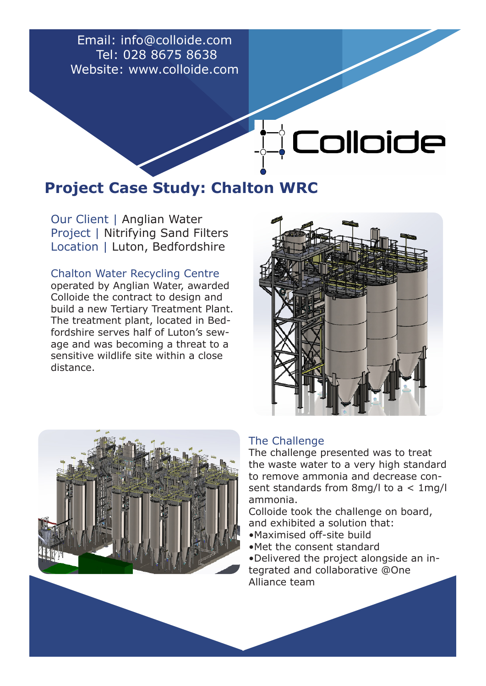Email: info@colloide.com Tel: 028 8675 8638 Website: www.colloide.com

## **Project Case Study: Chalton WRC**

Our Client | Anglian Water Project | Nitrifying Sand Filters Location | Luton, Bedfordshire

Chalton Water Recycling Centre operated by Anglian Water, awarded Colloide the contract to design and build a new Tertiary Treatment Plant. The treatment plant, located in Bedfordshire serves half of Luton's sewage and was becoming a threat to a sensitive wildlife site within a close distance.



**QUIDICE** 



## The Challenge

The challenge presented was to treat the waste water to a very high standard to remove ammonia and decrease consent standards from 8mg/l to a < 1mg/l ammonia.

Colloide took the challenge on board, and exhibited a solution that:

- •Maximised off-site build
- •Met the consent standard
- •Delivered the project alongside an integrated and collaborative @One Alliance team